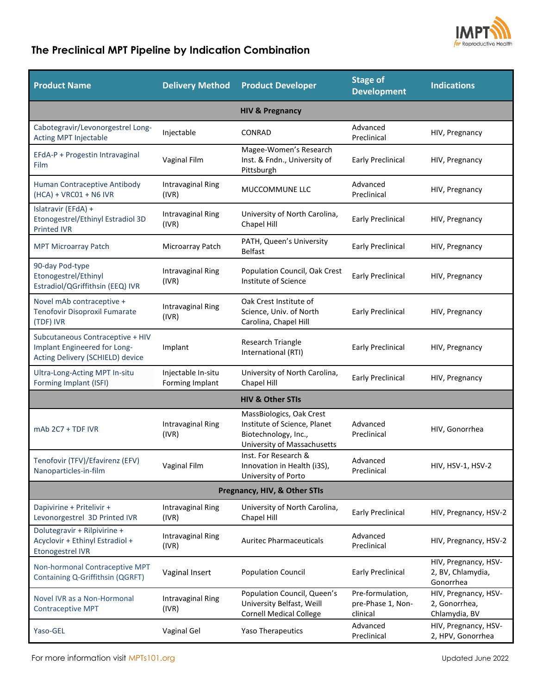

## **The Preclinical MPT Pipeline by Indication Combination**

| <b>Product Name</b>                                                                                  | <b>Delivery Method</b>                | <b>Product Developer</b>                                                                                        | <b>Stage of</b><br><b>Development</b>             | <b>Indications</b>                                     |  |  |  |
|------------------------------------------------------------------------------------------------------|---------------------------------------|-----------------------------------------------------------------------------------------------------------------|---------------------------------------------------|--------------------------------------------------------|--|--|--|
| <b>HIV &amp; Pregnancy</b>                                                                           |                                       |                                                                                                                 |                                                   |                                                        |  |  |  |
| Cabotegravir/Levonorgestrel Long-<br><b>Acting MPT Injectable</b>                                    | Injectable                            | CONRAD                                                                                                          | Advanced<br>Preclinical                           | HIV, Pregnancy                                         |  |  |  |
| EFdA-P + Progestin Intravaginal<br>Film                                                              | Vaginal Film                          | Magee-Women's Research<br>Inst. & Fndn., University of<br>Pittsburgh                                            | <b>Early Preclinical</b>                          | HIV, Pregnancy                                         |  |  |  |
| Human Contraceptive Antibody<br>$(HCA) + VRC01 + NG IVR$                                             | Intravaginal Ring<br>(IVR)            | MUCCOMMUNE LLC                                                                                                  | Advanced<br>Preclinical                           | HIV, Pregnancy                                         |  |  |  |
| Islatravir (EFdA) +<br>Etonogestrel/Ethinyl Estradiol 3D<br><b>Printed IVR</b>                       | <b>Intravaginal Ring</b><br>(IVR)     | University of North Carolina,<br>Chapel Hill                                                                    | <b>Early Preclinical</b>                          | HIV, Pregnancy                                         |  |  |  |
| <b>MPT Microarray Patch</b>                                                                          | Microarray Patch                      | PATH, Queen's University<br><b>Belfast</b>                                                                      | <b>Early Preclinical</b>                          | HIV, Pregnancy                                         |  |  |  |
| 90-day Pod-type<br>Etonogestrel/Ethinyl<br>Estradiol/QGriffithsin (EEQ) IVR                          | Intravaginal Ring<br>(IVR)            | Population Council, Oak Crest<br>Institute of Science                                                           | <b>Early Preclinical</b>                          | HIV, Pregnancy                                         |  |  |  |
| Novel mAb contraceptive +<br>Tenofovir Disoproxil Fumarate<br>(TDF) IVR                              | <b>Intravaginal Ring</b><br>(IVR)     | Oak Crest Institute of<br>Science, Univ. of North<br>Carolina, Chapel Hill                                      | <b>Early Preclinical</b>                          | HIV, Pregnancy                                         |  |  |  |
| Subcutaneous Contraceptive + HIV<br>Implant Engineered for Long-<br>Acting Delivery (SCHIELD) device | Implant                               | <b>Research Triangle</b><br>International (RTI)                                                                 | <b>Early Preclinical</b>                          | HIV, Pregnancy                                         |  |  |  |
| Ultra-Long-Acting MPT In-situ<br>Forming Implant (ISFI)                                              | Injectable In-situ<br>Forming Implant | University of North Carolina,<br>Chapel Hill                                                                    | <b>Early Preclinical</b>                          | HIV, Pregnancy                                         |  |  |  |
|                                                                                                      |                                       | <b>HIV &amp; Other STIs</b>                                                                                     |                                                   |                                                        |  |  |  |
| mAb 2C7 + TDF IVR                                                                                    | <b>Intravaginal Ring</b><br>(IVR)     | MassBiologics, Oak Crest<br>Institute of Science, Planet<br>Biotechnology, Inc.,<br>University of Massachusetts | Advanced<br>Preclinical                           | HIV, Gonorrhea                                         |  |  |  |
| Tenofovir (TFV)/Efavirenz (EFV)<br>Nanoparticles-in-film                                             | Vaginal Film                          | Inst. For Research &<br>Innovation in Health (i3S),<br>University of Porto                                      | Advanced<br>Preclinical                           | HIV, HSV-1, HSV-2                                      |  |  |  |
| Pregnancy, HIV, & Other STIs                                                                         |                                       |                                                                                                                 |                                                   |                                                        |  |  |  |
| Dapivirine + Pritelivir +<br>Levonorgestrel 3D Printed IVR                                           | <b>Intravaginal Ring</b><br>(IVR)     | University of North Carolina,<br>Chapel Hill                                                                    | <b>Early Preclinical</b>                          | HIV, Pregnancy, HSV-2                                  |  |  |  |
| Dolutegravir + Rilpivirine +<br>Acyclovir + Ethinyl Estradiol +<br><b>Etonogestrel IVR</b>           | Intravaginal Ring<br>(IVR)            | <b>Auritec Pharmaceuticals</b>                                                                                  | Advanced<br>Preclinical                           | HIV, Pregnancy, HSV-2                                  |  |  |  |
| Non-hormonal Contraceptive MPT<br>Containing Q-Griffithsin (QGRFT)                                   | Vaginal Insert                        | <b>Population Council</b>                                                                                       | <b>Early Preclinical</b>                          | HIV, Pregnancy, HSV-<br>2, BV, Chlamydia,<br>Gonorrhea |  |  |  |
| Novel IVR as a Non-Hormonal<br><b>Contraceptive MPT</b>                                              | Intravaginal Ring<br>(IVR)            | Population Council, Queen's<br>University Belfast, Weill<br><b>Cornell Medical College</b>                      | Pre-formulation,<br>pre-Phase 1, Non-<br>clinical | HIV, Pregnancy, HSV-<br>2, Gonorrhea,<br>Chlamydia, BV |  |  |  |
| Yaso-GEL                                                                                             | Vaginal Gel                           | Yaso Therapeutics                                                                                               | Advanced<br>Preclinical                           | HIV, Pregnancy, HSV-<br>2, HPV, Gonorrhea              |  |  |  |